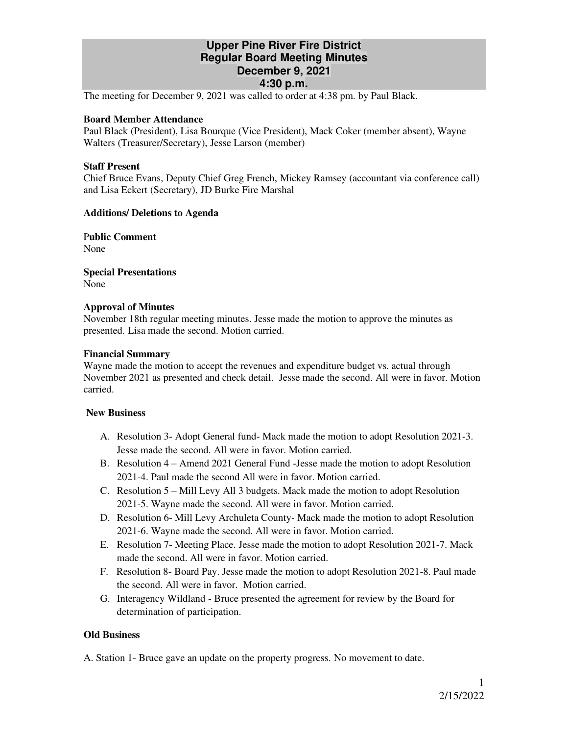# **Upper Pine River Fire District Regular Board Meeting Minutes December 9, 2021 4:30 p.m.**

The meeting for December 9, 2021 was called to order at 4:38 pm. by Paul Black.

## **Board Member Attendance**

Paul Black (President), Lisa Bourque (Vice President), Mack Coker (member absent), Wayne Walters (Treasurer/Secretary), Jesse Larson (member)

## **Staff Present**

Chief Bruce Evans, Deputy Chief Greg French, Mickey Ramsey (accountant via conference call) and Lisa Eckert (Secretary), JD Burke Fire Marshal

## **Additions/ Deletions to Agenda**

P**ublic Comment** None

**Special Presentations**  None

## **Approval of Minutes**

November 18th regular meeting minutes. Jesse made the motion to approve the minutes as presented. Lisa made the second. Motion carried.

## **Financial Summary**

Wayne made the motion to accept the revenues and expenditure budget vs. actual through November 2021 as presented and check detail. Jesse made the second. All were in favor. Motion carried.

## **New Business**

- A. Resolution 3- Adopt General fund- Mack made the motion to adopt Resolution 2021-3. Jesse made the second. All were in favor. Motion carried.
- B. Resolution 4 Amend 2021 General Fund -Jesse made the motion to adopt Resolution 2021-4. Paul made the second All were in favor. Motion carried.
- C. Resolution 5 Mill Levy All 3 budgets. Mack made the motion to adopt Resolution 2021-5. Wayne made the second. All were in favor. Motion carried.
- D. Resolution 6- Mill Levy Archuleta County- Mack made the motion to adopt Resolution 2021-6. Wayne made the second. All were in favor. Motion carried.
- E. Resolution 7- Meeting Place. Jesse made the motion to adopt Resolution 2021-7. Mack made the second. All were in favor. Motion carried.
- F. Resolution 8- Board Pay. Jesse made the motion to adopt Resolution 2021-8. Paul made the second. All were in favor. Motion carried.
- G. Interagency Wildland Bruce presented the agreement for review by the Board for determination of participation.

## **Old Business**

A. Station 1- Bruce gave an update on the property progress. No movement to date.